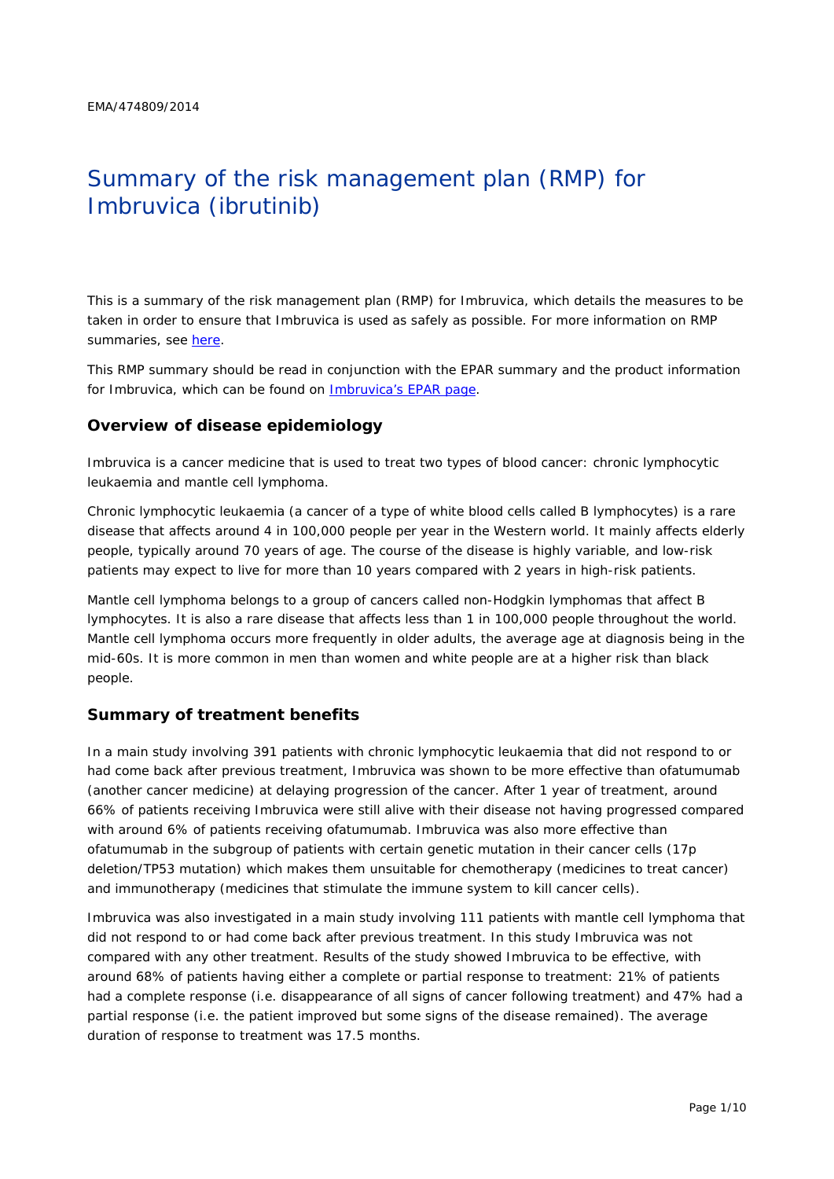# Summary of the risk management plan (RMP) for Imbruvica (ibrutinib)

This is a summary of the risk management plan (RMP) for Imbruvica, which details the measures to be taken in order to ensure that Imbruvica is used as safely as possible. For more information on RMP summaries, see [here.](http://www.ema.europa.eu/docs/en_GB/document_library/Other/2014/05/WC500166101.pdf)

This RMP summary should be read in conjunction with the EPAR summary and the product information for Imbruvica, which can be found on [Imbruvica's EPAR page.](http://www.ema.europa.eu/ema/index.jsp?curl=/pages/medicines/human/medicines/003791/human_med_001801.jsp)

## **Overview of disease epidemiology**

Imbruvica is a cancer medicine that is used to treat two types of blood cancer: chronic lymphocytic leukaemia and mantle cell lymphoma.

Chronic lymphocytic leukaemia (a cancer of a type of white blood cells called B lymphocytes) is a rare disease that affects around 4 in 100,000 people per year in the Western world. It mainly affects elderly people, typically around 70 years of age. The course of the disease is highly variable, and low-risk patients may expect to live for more than 10 years compared with 2 years in high-risk patients.

Mantle cell lymphoma belongs to a group of cancers called non-Hodgkin lymphomas that affect B lymphocytes. It is also a rare disease that affects less than 1 in 100,000 people throughout the world. Mantle cell lymphoma occurs more frequently in older adults, the average age at diagnosis being in the mid-60s. It is more common in men than women and white people are at a higher risk than black people.

## **Summary of treatment benefits**

In a main study involving 391 patients with chronic lymphocytic leukaemia that did not respond to or had come back after previous treatment, Imbruvica was shown to be more effective than ofatumumab (another cancer medicine) at delaying progression of the cancer. After 1 year of treatment, around 66% of patients receiving Imbruvica were still alive with their disease not having progressed compared with around 6% of patients receiving ofatumumab. Imbruvica was also more effective than ofatumumab in the subgroup of patients with certain genetic mutation in their cancer cells (17p deletion/TP53 mutation) which makes them unsuitable for chemotherapy (medicines to treat cancer) and immunotherapy (medicines that stimulate the immune system to kill cancer cells).

Imbruvica was also investigated in a main study involving 111 patients with mantle cell lymphoma that did not respond to or had come back after previous treatment. In this study Imbruvica was not compared with any other treatment. Results of the study showed Imbruvica to be effective, with around 68% of patients having either a complete or partial response to treatment: 21% of patients had a complete response (i.e. disappearance of all signs of cancer following treatment) and 47% had a partial response (i.e. the patient improved but some signs of the disease remained). The average duration of response to treatment was 17.5 months.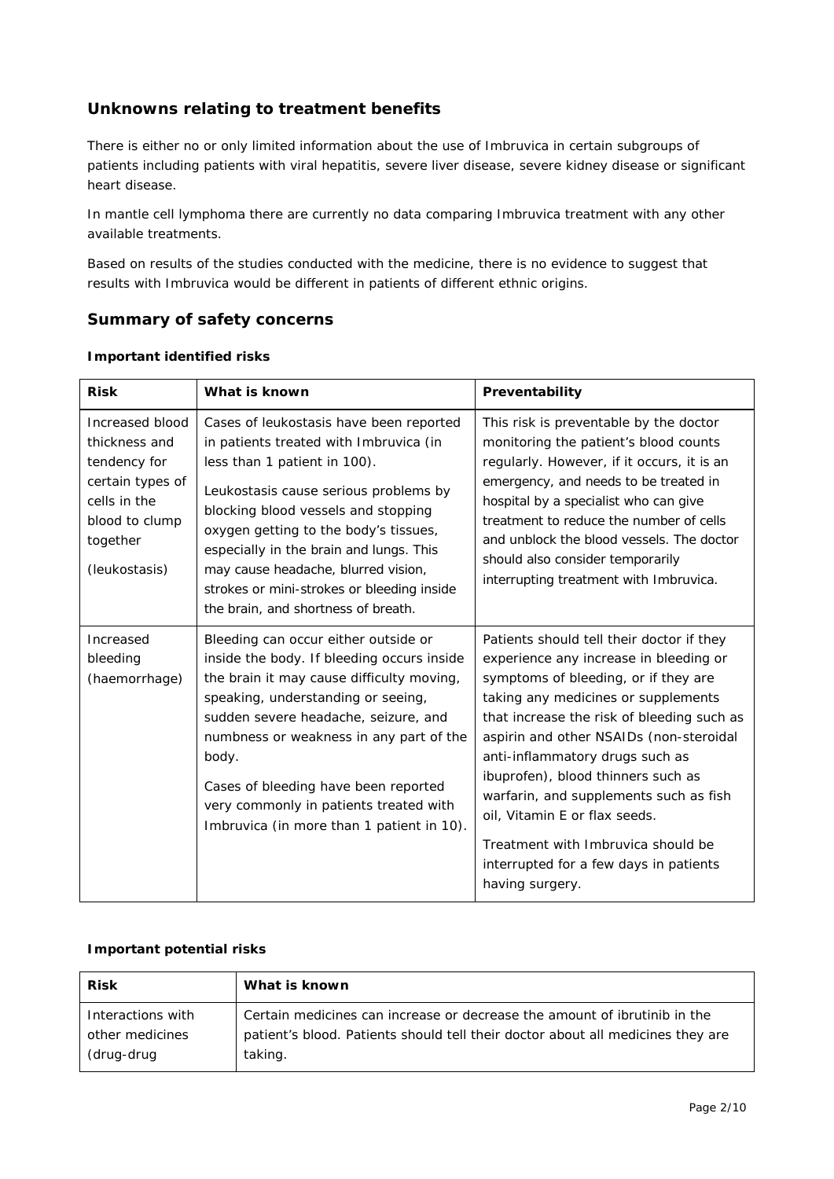# **Unknowns relating to treatment benefits**

There is either no or only limited information about the use of Imbruvica in certain subgroups of patients including patients with viral hepatitis, severe liver disease, severe kidney disease or significant heart disease.

In mantle cell lymphoma there are currently no data comparing Imbruvica treatment with any other available treatments.

Based on results of the studies conducted with the medicine, there is no evidence to suggest that results with Imbruvica would be different in patients of different ethnic origins.

# **Summary of safety concerns**

| <b>Risk</b>                                                                                                                         | What is known                                                                                                                                                                                                                                                                                                                                                                                                     | Preventability                                                                                                                                                                                                                                                                                                                                                                                                                                                                                                     |
|-------------------------------------------------------------------------------------------------------------------------------------|-------------------------------------------------------------------------------------------------------------------------------------------------------------------------------------------------------------------------------------------------------------------------------------------------------------------------------------------------------------------------------------------------------------------|--------------------------------------------------------------------------------------------------------------------------------------------------------------------------------------------------------------------------------------------------------------------------------------------------------------------------------------------------------------------------------------------------------------------------------------------------------------------------------------------------------------------|
| Increased blood<br>thickness and<br>tendency for<br>certain types of<br>cells in the<br>blood to clump<br>together<br>(leukostasis) | Cases of leukostasis have been reported<br>in patients treated with Imbruvica (in<br>less than 1 patient in 100).<br>Leukostasis cause serious problems by<br>blocking blood vessels and stopping<br>oxygen getting to the body's tissues,<br>especially in the brain and lungs. This<br>may cause headache, blurred vision,<br>strokes or mini-strokes or bleeding inside<br>the brain, and shortness of breath. | This risk is preventable by the doctor<br>monitoring the patient's blood counts<br>regularly. However, if it occurs, it is an<br>emergency, and needs to be treated in<br>hospital by a specialist who can give<br>treatment to reduce the number of cells<br>and unblock the blood vessels. The doctor<br>should also consider temporarily<br>interrupting treatment with Imbruvica.                                                                                                                              |
| Increased<br>bleeding<br>(haemorrhage)                                                                                              | Bleeding can occur either outside or<br>inside the body. If bleeding occurs inside<br>the brain it may cause difficulty moving,<br>speaking, understanding or seeing,<br>sudden severe headache, seizure, and<br>numbness or weakness in any part of the<br>body.<br>Cases of bleeding have been reported<br>very commonly in patients treated with<br>Imbruvica (in more than 1 patient in 10).                  | Patients should tell their doctor if they<br>experience any increase in bleeding or<br>symptoms of bleeding, or if they are<br>taking any medicines or supplements<br>that increase the risk of bleeding such as<br>aspirin and other NSAIDs (non-steroidal<br>anti-inflammatory drugs such as<br>ibuprofen), blood thinners such as<br>warfarin, and supplements such as fish<br>oil, Vitamin E or flax seeds.<br>Treatment with Imbruvica should be<br>interrupted for a few days in patients<br>having surgery. |

#### *Important identified risks*

## *Important potential risks*

| <b>Risk</b>                          | What is known                                                                                                                                                |
|--------------------------------------|--------------------------------------------------------------------------------------------------------------------------------------------------------------|
| Interactions with<br>other medicines | Certain medicines can increase or decrease the amount of ibrutinib in the<br>patient's blood. Patients should tell their doctor about all medicines they are |
| (drug-drug                           | taking.                                                                                                                                                      |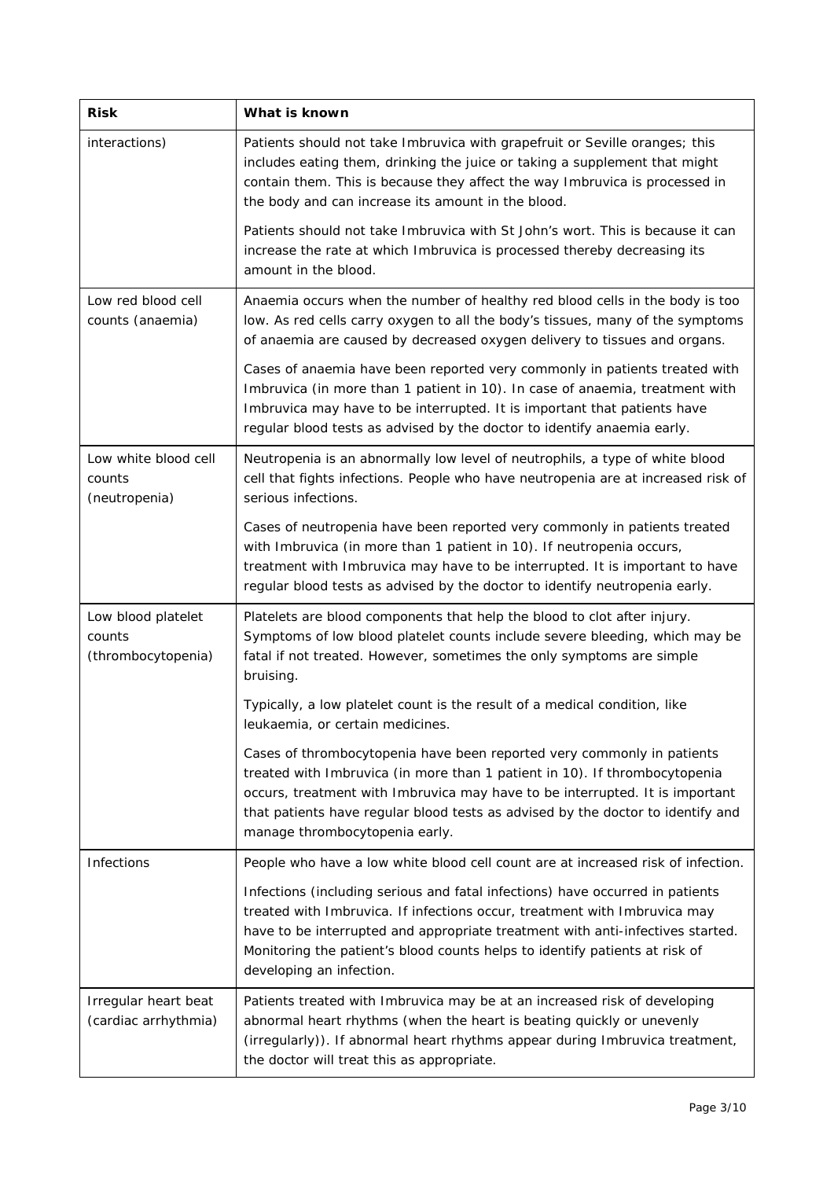| <b>Risk</b>                                        | What is known                                                                                                                                                                                                                                                                                                                                             |
|----------------------------------------------------|-----------------------------------------------------------------------------------------------------------------------------------------------------------------------------------------------------------------------------------------------------------------------------------------------------------------------------------------------------------|
| interactions)                                      | Patients should not take Imbruvica with grapefruit or Seville oranges; this<br>includes eating them, drinking the juice or taking a supplement that might<br>contain them. This is because they affect the way Imbruvica is processed in<br>the body and can increase its amount in the blood.                                                            |
|                                                    | Patients should not take Imbruvica with St John's wort. This is because it can<br>increase the rate at which Imbruvica is processed thereby decreasing its<br>amount in the blood.                                                                                                                                                                        |
| Low red blood cell<br>counts (anaemia)             | Anaemia occurs when the number of healthy red blood cells in the body is too<br>low. As red cells carry oxygen to all the body's tissues, many of the symptoms<br>of anaemia are caused by decreased oxygen delivery to tissues and organs.                                                                                                               |
|                                                    | Cases of anaemia have been reported very commonly in patients treated with<br>Imbruvica (in more than 1 patient in 10). In case of anaemia, treatment with<br>Imbruvica may have to be interrupted. It is important that patients have<br>regular blood tests as advised by the doctor to identify anaemia early.                                         |
| Low white blood cell<br>counts<br>(neutropenia)    | Neutropenia is an abnormally low level of neutrophils, a type of white blood<br>cell that fights infections. People who have neutropenia are at increased risk of<br>serious infections.                                                                                                                                                                  |
|                                                    | Cases of neutropenia have been reported very commonly in patients treated<br>with Imbruvica (in more than 1 patient in 10). If neutropenia occurs,<br>treatment with Imbruvica may have to be interrupted. It is important to have<br>regular blood tests as advised by the doctor to identify neutropenia early.                                         |
| Low blood platelet<br>counts<br>(thrombocytopenia) | Platelets are blood components that help the blood to clot after injury.<br>Symptoms of low blood platelet counts include severe bleeding, which may be<br>fatal if not treated. However, sometimes the only symptoms are simple<br>bruising.                                                                                                             |
|                                                    | Typically, a low platelet count is the result of a medical condition, like<br>leukaemia, or certain medicines.                                                                                                                                                                                                                                            |
|                                                    | Cases of thrombocytopenia have been reported very commonly in patients<br>treated with Imbruvica (in more than 1 patient in 10). If thrombocytopenia<br>occurs, treatment with Imbruvica may have to be interrupted. It is important<br>that patients have regular blood tests as advised by the doctor to identify and<br>manage thrombocytopenia early. |
| Infections                                         | People who have a low white blood cell count are at increased risk of infection.                                                                                                                                                                                                                                                                          |
|                                                    | Infections (including serious and fatal infections) have occurred in patients<br>treated with Imbruvica. If infections occur, treatment with Imbruvica may<br>have to be interrupted and appropriate treatment with anti-infectives started.<br>Monitoring the patient's blood counts helps to identify patients at risk of<br>developing an infection.   |
| Irregular heart beat<br>(cardiac arrhythmia)       | Patients treated with Imbruvica may be at an increased risk of developing<br>abnormal heart rhythms (when the heart is beating quickly or unevenly<br>(irregularly)). If abnormal heart rhythms appear during Imbruvica treatment,<br>the doctor will treat this as appropriate.                                                                          |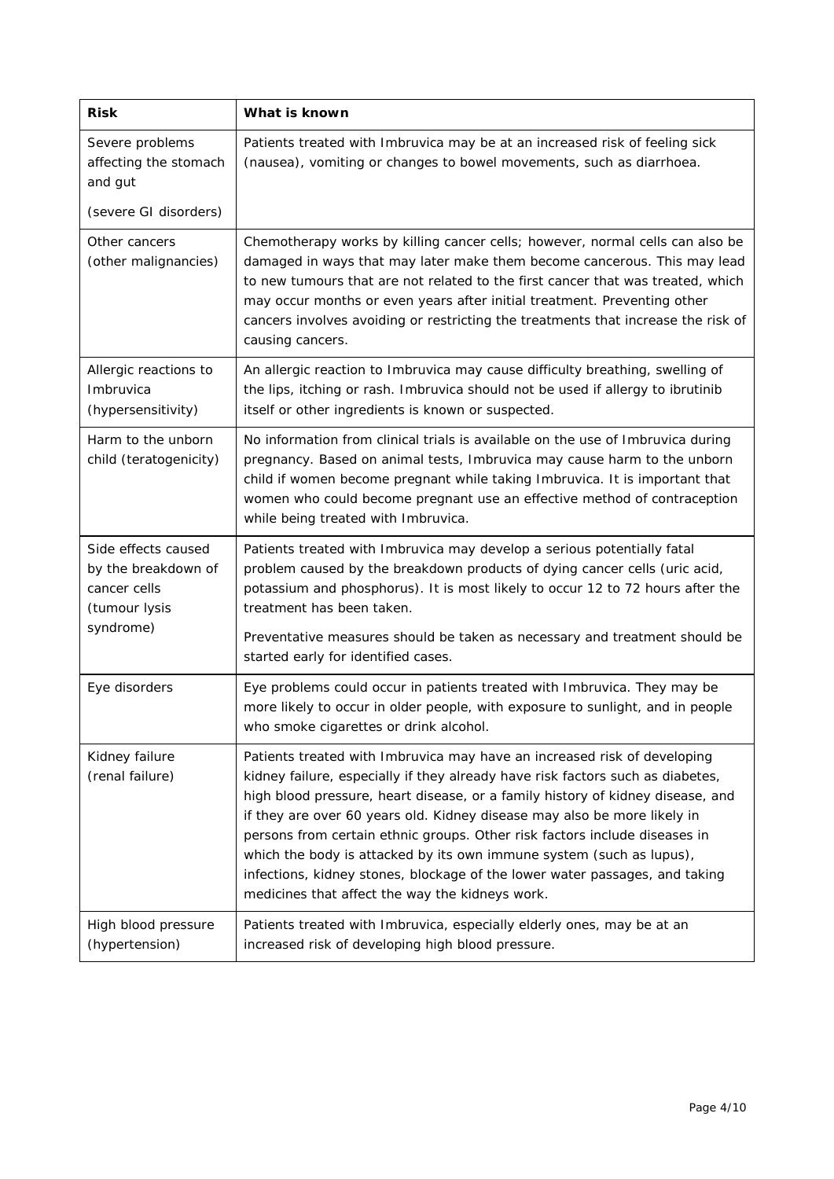| <b>Risk</b>                                                                              | What is known                                                                                                                                                                                                                                                                                                                                                                                                                                                                                                                                                                                                    |
|------------------------------------------------------------------------------------------|------------------------------------------------------------------------------------------------------------------------------------------------------------------------------------------------------------------------------------------------------------------------------------------------------------------------------------------------------------------------------------------------------------------------------------------------------------------------------------------------------------------------------------------------------------------------------------------------------------------|
| Severe problems<br>affecting the stomach<br>and gut                                      | Patients treated with Imbruvica may be at an increased risk of feeling sick<br>(nausea), vomiting or changes to bowel movements, such as diarrhoea.                                                                                                                                                                                                                                                                                                                                                                                                                                                              |
| (severe GI disorders)                                                                    |                                                                                                                                                                                                                                                                                                                                                                                                                                                                                                                                                                                                                  |
| Other cancers<br>(other malignancies)                                                    | Chemotherapy works by killing cancer cells; however, normal cells can also be<br>damaged in ways that may later make them become cancerous. This may lead<br>to new tumours that are not related to the first cancer that was treated, which<br>may occur months or even years after initial treatment. Preventing other<br>cancers involves avoiding or restricting the treatments that increase the risk of<br>causing cancers.                                                                                                                                                                                |
| Allergic reactions to<br>Imbruvica<br>(hypersensitivity)                                 | An allergic reaction to Imbruvica may cause difficulty breathing, swelling of<br>the lips, itching or rash. Imbruvica should not be used if allergy to ibrutinib<br>itself or other ingredients is known or suspected.                                                                                                                                                                                                                                                                                                                                                                                           |
| Harm to the unborn<br>child (teratogenicity)                                             | No information from clinical trials is available on the use of Imbruvica during<br>pregnancy. Based on animal tests, Imbruvica may cause harm to the unborn<br>child if women become pregnant while taking Imbruvica. It is important that<br>women who could become pregnant use an effective method of contraception<br>while being treated with Imbruvica.                                                                                                                                                                                                                                                    |
| Side effects caused<br>by the breakdown of<br>cancer cells<br>(tumour lysis<br>syndrome) | Patients treated with Imbruvica may develop a serious potentially fatal<br>problem caused by the breakdown products of dying cancer cells (uric acid,<br>potassium and phosphorus). It is most likely to occur 12 to 72 hours after the<br>treatment has been taken.<br>Preventative measures should be taken as necessary and treatment should be                                                                                                                                                                                                                                                               |
|                                                                                          | started early for identified cases.                                                                                                                                                                                                                                                                                                                                                                                                                                                                                                                                                                              |
| Eye disorders                                                                            | Eye problems could occur in patients treated with Imbruvica. They may be<br>more likely to occur in older people, with exposure to sunlight, and in people<br>who smoke cigarettes or drink alcohol.                                                                                                                                                                                                                                                                                                                                                                                                             |
| Kidney failure<br>(renal failure)                                                        | Patients treated with Imbruvica may have an increased risk of developing<br>kidney failure, especially if they already have risk factors such as diabetes,<br>high blood pressure, heart disease, or a family history of kidney disease, and<br>if they are over 60 years old. Kidney disease may also be more likely in<br>persons from certain ethnic groups. Other risk factors include diseases in<br>which the body is attacked by its own immune system (such as lupus),<br>infections, kidney stones, blockage of the lower water passages, and taking<br>medicines that affect the way the kidneys work. |
| High blood pressure<br>(hypertension)                                                    | Patients treated with Imbruvica, especially elderly ones, may be at an<br>increased risk of developing high blood pressure.                                                                                                                                                                                                                                                                                                                                                                                                                                                                                      |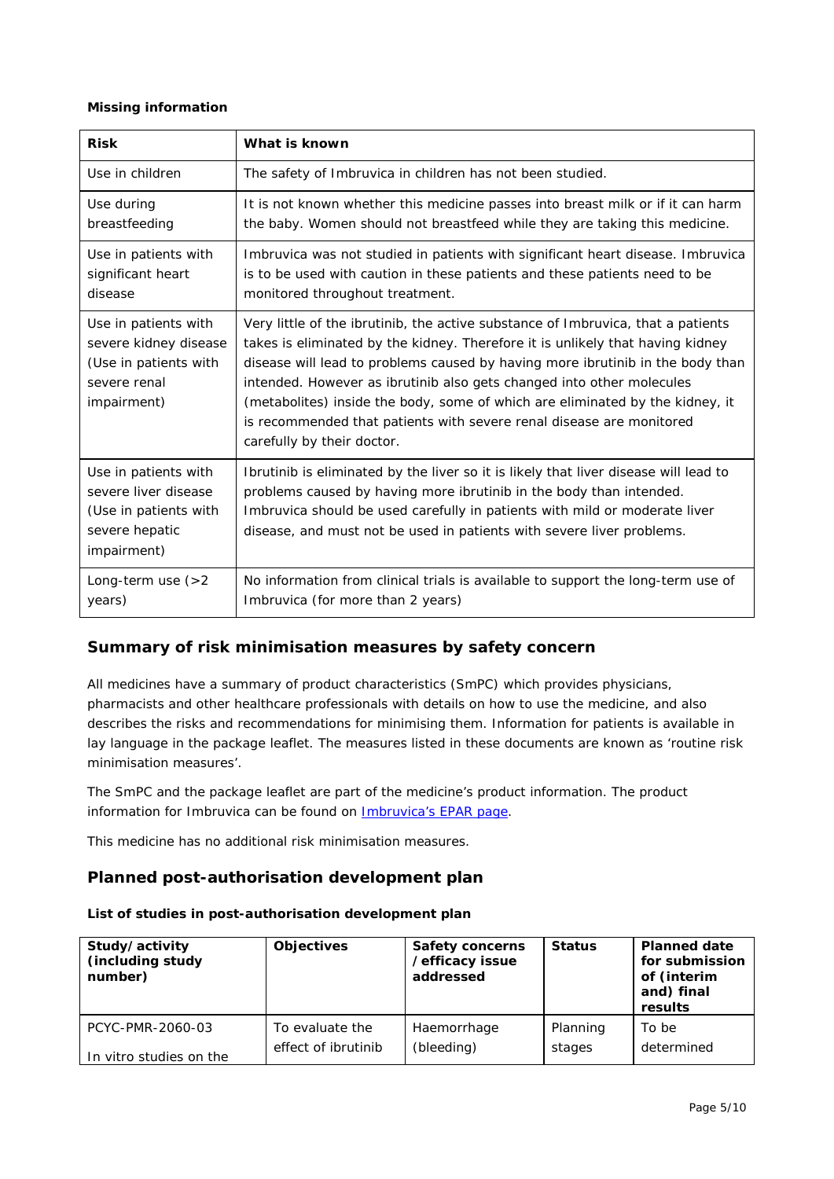#### *Missing information*

| <b>Risk</b>                                                                                            | What is known                                                                                                                                                                                                                                                                                                                                                                                                                                                                                                        |
|--------------------------------------------------------------------------------------------------------|----------------------------------------------------------------------------------------------------------------------------------------------------------------------------------------------------------------------------------------------------------------------------------------------------------------------------------------------------------------------------------------------------------------------------------------------------------------------------------------------------------------------|
| Use in children                                                                                        | The safety of Imbruvica in children has not been studied.                                                                                                                                                                                                                                                                                                                                                                                                                                                            |
| Use during<br>breastfeeding                                                                            | It is not known whether this medicine passes into breast milk or if it can harm<br>the baby. Women should not breastfeed while they are taking this medicine.                                                                                                                                                                                                                                                                                                                                                        |
| Use in patients with<br>significant heart<br>disease                                                   | Imbruvica was not studied in patients with significant heart disease. Imbruvica<br>is to be used with caution in these patients and these patients need to be<br>monitored throughout treatment.                                                                                                                                                                                                                                                                                                                     |
| Use in patients with<br>severe kidney disease<br>(Use in patients with<br>severe renal<br>impairment)  | Very little of the ibrutinib, the active substance of Imbruvica, that a patients<br>takes is eliminated by the kidney. Therefore it is unlikely that having kidney<br>disease will lead to problems caused by having more ibrutinib in the body than<br>intended. However as ibrutinib also gets changed into other molecules<br>(metabolites) inside the body, some of which are eliminated by the kidney, it<br>is recommended that patients with severe renal disease are monitored<br>carefully by their doctor. |
| Use in patients with<br>severe liver disease<br>(Use in patients with<br>severe hepatic<br>impairment) | Ibrutinib is eliminated by the liver so it is likely that liver disease will lead to<br>problems caused by having more ibrutinib in the body than intended.<br>Imbruvica should be used carefully in patients with mild or moderate liver<br>disease, and must not be used in patients with severe liver problems.                                                                                                                                                                                                   |
| Long-term use $(>2)$<br>years)                                                                         | No information from clinical trials is available to support the long-term use of<br>Imbruvica (for more than 2 years)                                                                                                                                                                                                                                                                                                                                                                                                |

# **Summary of risk minimisation measures by safety concern**

All medicines have a summary of product characteristics (SmPC) which provides physicians, pharmacists and other healthcare professionals with details on how to use the medicine, and also describes the risks and recommendations for minimising them. Information for patients is available in lay language in the package leaflet. The measures listed in these documents are known as 'routine risk minimisation measures'.

The SmPC and the package leaflet are part of the medicine's product information. The product information for Imbruvica can be found on **Imbruvica's EPAR page**.

This medicine has no additional risk minimisation measures.

# **Planned post-authorisation development plan**

| Study/activity<br>(including study<br>number) | <b>Objectives</b>   | <b>Safety concerns</b><br>/efficacy issue<br>addressed | <b>Status</b> | <b>Planned date</b><br>for submission<br>of (interim<br>and) final<br>results |
|-----------------------------------------------|---------------------|--------------------------------------------------------|---------------|-------------------------------------------------------------------------------|
| PCYC-PMR-2060-03                              | To evaluate the     | Haemorrhage                                            | Planning      | To be                                                                         |
| In vitro studies on the                       | effect of ibrutinib | (bleeding)                                             | stages        | determined                                                                    |

## *List of studies in post-authorisation development plan*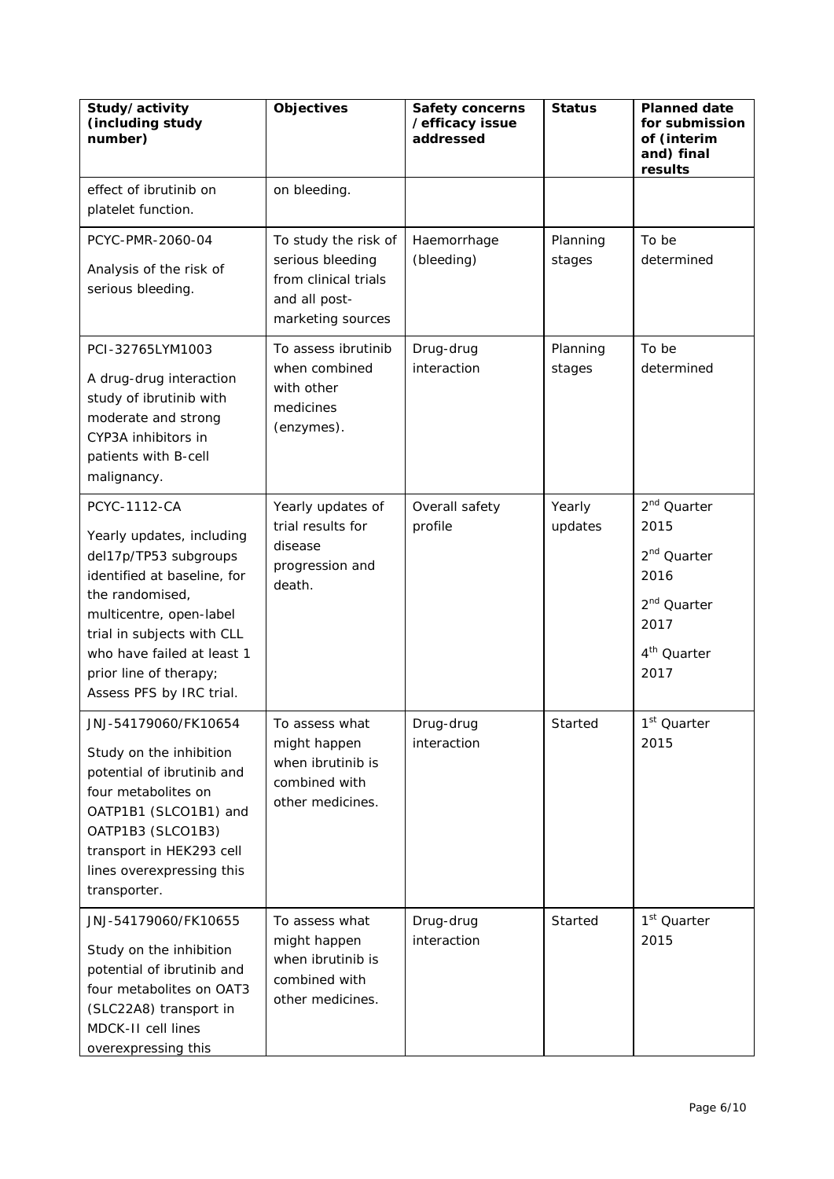| Study/activity<br>(including study<br>number)                                                                                                                                                                                                                            | <b>Objectives</b>                                                                                      | <b>Safety concerns</b><br>/efficacy issue<br>addressed | <b>Status</b>      | <b>Planned date</b><br>for submission<br>of (interim<br>and) final<br>results                                                            |
|--------------------------------------------------------------------------------------------------------------------------------------------------------------------------------------------------------------------------------------------------------------------------|--------------------------------------------------------------------------------------------------------|--------------------------------------------------------|--------------------|------------------------------------------------------------------------------------------------------------------------------------------|
| effect of ibrutinib on<br>platelet function.                                                                                                                                                                                                                             | on bleeding.                                                                                           |                                                        |                    |                                                                                                                                          |
| PCYC-PMR-2060-04<br>Analysis of the risk of<br>serious bleeding.                                                                                                                                                                                                         | To study the risk of<br>serious bleeding<br>from clinical trials<br>and all post-<br>marketing sources | Haemorrhage<br>(bleeding)                              | Planning<br>stages | To be<br>determined                                                                                                                      |
| PCI-32765LYM1003<br>A drug-drug interaction<br>study of ibrutinib with<br>moderate and strong<br>CYP3A inhibitors in<br>patients with B-cell<br>malignancy.                                                                                                              | To assess ibrutinib<br>when combined<br>with other<br>medicines<br>(enzymes).                          | Drug-drug<br>interaction                               | Planning<br>stages | To be<br>determined                                                                                                                      |
| <b>PCYC-1112-CA</b><br>Yearly updates, including<br>del17p/TP53 subgroups<br>identified at baseline, for<br>the randomised,<br>multicentre, open-label<br>trial in subjects with CLL<br>who have failed at least 1<br>prior line of therapy;<br>Assess PFS by IRC trial. | Yearly updates of<br>trial results for<br>disease<br>progression and<br>death.                         | Overall safety<br>profile                              | Yearly<br>updates  | 2 <sup>nd</sup> Quarter<br>2015<br>2 <sup>nd</sup> Quarter<br>2016<br>2 <sup>nd</sup> Quarter<br>2017<br>4 <sup>th</sup> Quarter<br>2017 |
| JNJ-54179060/FK10654<br>Study on the inhibition<br>potential of ibrutinib and<br>four metabolites on<br>OATP1B1 (SLCO1B1) and<br>OATP1B3 (SLCO1B3)<br>transport in HEK293 cell<br>lines overexpressing this<br>transporter.                                              | To assess what<br>might happen<br>when ibrutinib is<br>combined with<br>other medicines.               | Drug-drug<br>interaction                               | Started            | 1 <sup>st</sup> Quarter<br>2015                                                                                                          |
| JNJ-54179060/FK10655<br>Study on the inhibition<br>potential of ibrutinib and<br>four metabolites on OAT3<br>(SLC22A8) transport in<br>MDCK-II cell lines<br>overexpressing this                                                                                         | To assess what<br>might happen<br>when ibrutinib is<br>combined with<br>other medicines.               | Drug-drug<br>interaction                               | Started            | 1 <sup>st</sup> Quarter<br>2015                                                                                                          |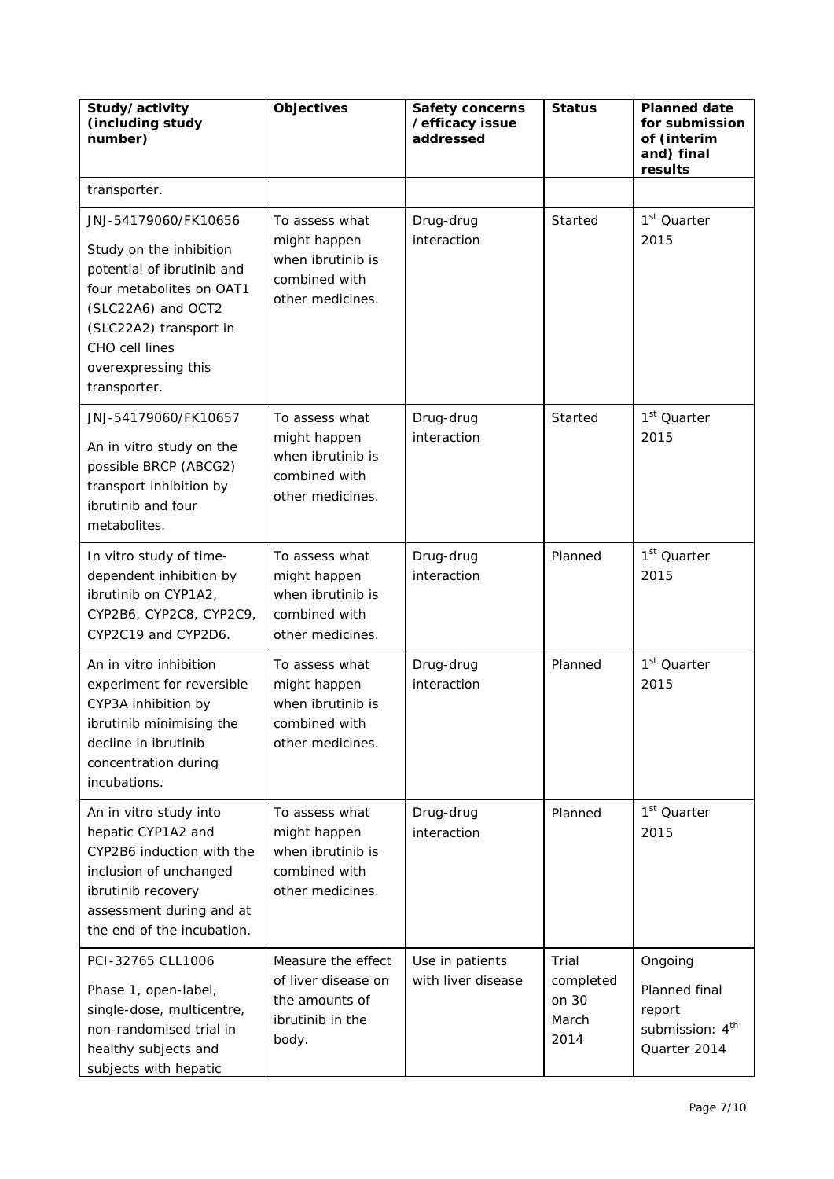| Study/activity<br>(including study<br>number)                                                                                                                                                                      | <b>Objectives</b>                                                                        | <b>Safety concerns</b><br>/efficacy issue<br>addressed | <b>Status</b>                                | <b>Planned date</b><br>for submission<br>of (interim<br>and) final<br>results     |
|--------------------------------------------------------------------------------------------------------------------------------------------------------------------------------------------------------------------|------------------------------------------------------------------------------------------|--------------------------------------------------------|----------------------------------------------|-----------------------------------------------------------------------------------|
| transporter.                                                                                                                                                                                                       |                                                                                          |                                                        |                                              |                                                                                   |
| JNJ-54179060/FK10656<br>Study on the inhibition<br>potential of ibrutinib and<br>four metabolites on OAT1<br>(SLC22A6) and OCT2<br>(SLC22A2) transport in<br>CHO cell lines<br>overexpressing this<br>transporter. | To assess what<br>might happen<br>when ibrutinib is<br>combined with<br>other medicines. | Drug-drug<br>interaction                               | Started                                      | 1 <sup>st</sup> Quarter<br>2015                                                   |
| JNJ-54179060/FK10657<br>An in vitro study on the<br>possible BRCP (ABCG2)<br>transport inhibition by<br>ibrutinib and four<br>metabolites.                                                                         | To assess what<br>might happen<br>when ibrutinib is<br>combined with<br>other medicines. | Drug-drug<br>interaction                               | Started                                      | 1 <sup>st</sup> Quarter<br>2015                                                   |
| In vitro study of time-<br>dependent inhibition by<br>ibrutinib on CYP1A2,<br>CYP2B6, CYP2C8, CYP2C9,<br>CYP2C19 and CYP2D6.                                                                                       | To assess what<br>might happen<br>when ibrutinib is<br>combined with<br>other medicines. | Drug-drug<br>interaction                               | Planned                                      | 1 <sup>st</sup> Quarter<br>2015                                                   |
| An in vitro inhibition<br>experiment for reversible<br>CYP3A inhibition by<br>ibrutinib minimising the<br>decline in ibrutinib<br>concentration during<br>incubations.                                             | To assess what<br>might happen<br>when ibrutinib is<br>combined with<br>other medicines. | Drug-drug<br>interaction                               | Planned                                      | 1 <sup>st</sup> Quarter<br>2015                                                   |
| An in vitro study into<br>hepatic CYP1A2 and<br>CYP2B6 induction with the<br>inclusion of unchanged<br>ibrutinib recovery<br>assessment during and at<br>the end of the incubation.                                | To assess what<br>might happen<br>when ibrutinib is<br>combined with<br>other medicines. | Drug-drug<br>interaction                               | Planned                                      | 1 <sup>st</sup> Quarter<br>2015                                                   |
| PCI-32765 CLL1006<br>Phase 1, open-label,<br>single-dose, multicentre,<br>non-randomised trial in<br>healthy subjects and<br>subjects with hepatic                                                                 | Measure the effect<br>of liver disease on<br>the amounts of<br>ibrutinib in the<br>body. | Use in patients<br>with liver disease                  | Trial<br>completed<br>on 30<br>March<br>2014 | Ongoing<br>Planned final<br>report<br>submission: 4 <sup>th</sup><br>Quarter 2014 |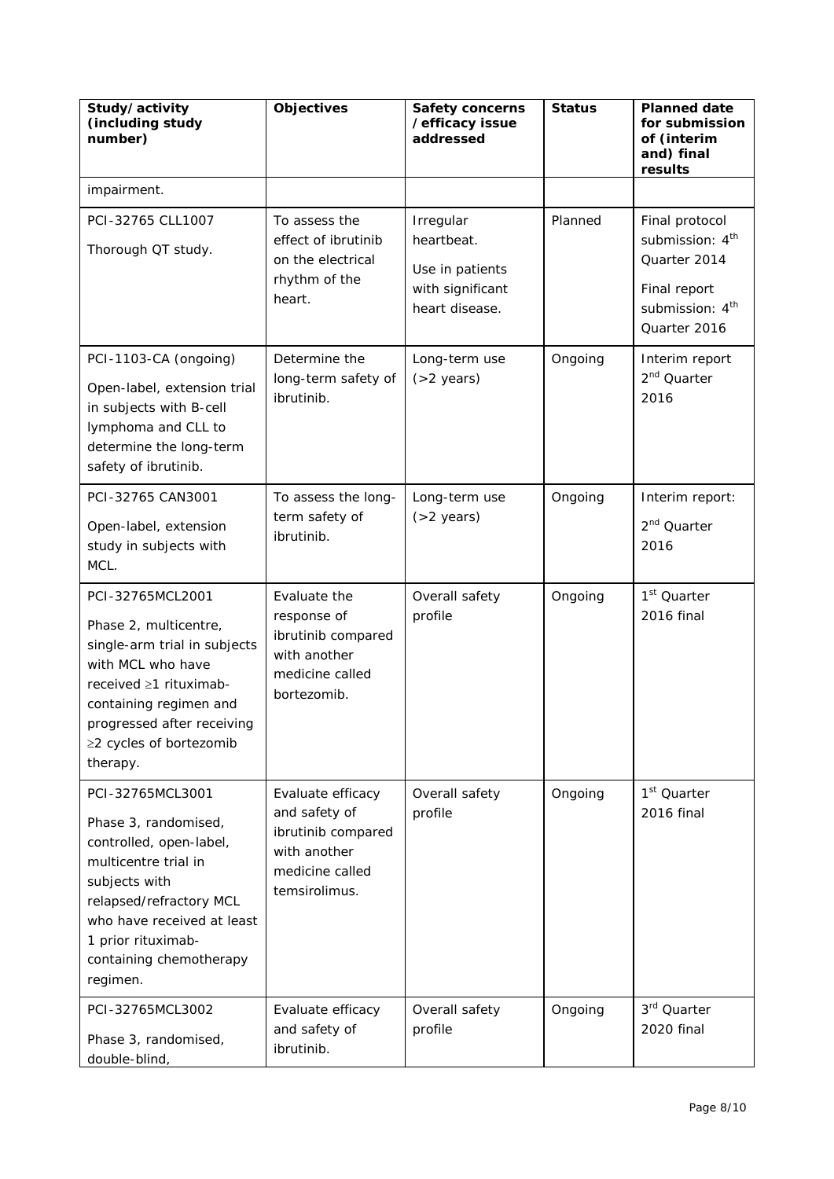| Study/activity<br>(including study<br>number)                                                                                                                                                                                      | <b>Objectives</b>                                                                                            | <b>Safety concerns</b><br>/efficacy issue<br>addressed                           | <b>Status</b> | <b>Planned date</b><br>for submission<br>of (interim<br>and) final<br>results                                                |
|------------------------------------------------------------------------------------------------------------------------------------------------------------------------------------------------------------------------------------|--------------------------------------------------------------------------------------------------------------|----------------------------------------------------------------------------------|---------------|------------------------------------------------------------------------------------------------------------------------------|
| impairment.                                                                                                                                                                                                                        |                                                                                                              |                                                                                  |               |                                                                                                                              |
| PCI-32765 CLL1007<br>Thorough QT study.                                                                                                                                                                                            | To assess the<br>effect of ibrutinib<br>on the electrical<br>rhythm of the<br>heart.                         | Irregular<br>heartbeat.<br>Use in patients<br>with significant<br>heart disease. | Planned       | Final protocol<br>submission: 4 <sup>th</sup><br>Quarter 2014<br>Final report<br>submission: 4 <sup>th</sup><br>Quarter 2016 |
| PCI-1103-CA (ongoing)<br>Open-label, extension trial<br>in subjects with B-cell<br>lymphoma and CLL to<br>determine the long-term<br>safety of ibrutinib.                                                                          | Determine the<br>long-term safety of<br>ibrutinib.                                                           | Long-term use<br>$( > 2$ years)                                                  | Ongoing       | Interim report<br>2 <sup>nd</sup> Quarter<br>2016                                                                            |
| PCI-32765 CAN3001<br>Open-label, extension<br>study in subjects with<br>MCL.                                                                                                                                                       | To assess the long-<br>term safety of<br>ibrutinib.                                                          | Long-term use<br>$( > 2$ years)                                                  | Ongoing       | Interim report:<br>2 <sup>nd</sup> Quarter<br>2016                                                                           |
| PCI-32765MCL2001<br>Phase 2, multicentre,<br>single-arm trial in subjects<br>with MCL who have<br>received ≥1 rituximab-<br>containing regimen and<br>progressed after receiving<br>≥2 cycles of bortezomib<br>therapy.            | Evaluate the<br>response of<br>ibrutinib compared<br>with another<br>medicine called<br>bortezomib.          | Overall safety<br>profile                                                        | Ongoing       | 1 <sup>st</sup> Quarter<br>2016 final                                                                                        |
| PCI-32765MCL3001<br>Phase 3, randomised,<br>controlled, open-label,<br>multicentre trial in<br>subjects with<br>relapsed/refractory MCL<br>who have received at least<br>1 prior rituximab-<br>containing chemotherapy<br>regimen. | Evaluate efficacy<br>and safety of<br>ibrutinib compared<br>with another<br>medicine called<br>temsirolimus. | Overall safety<br>profile                                                        | Ongoing       | 1 <sup>st</sup> Quarter<br>2016 final                                                                                        |
| PCI-32765MCL3002<br>Phase 3, randomised,<br>double-blind,                                                                                                                                                                          | Evaluate efficacy<br>and safety of<br>ibrutinib.                                                             | Overall safety<br>profile                                                        | Ongoing       | 3 <sup>rd</sup> Quarter<br>2020 final                                                                                        |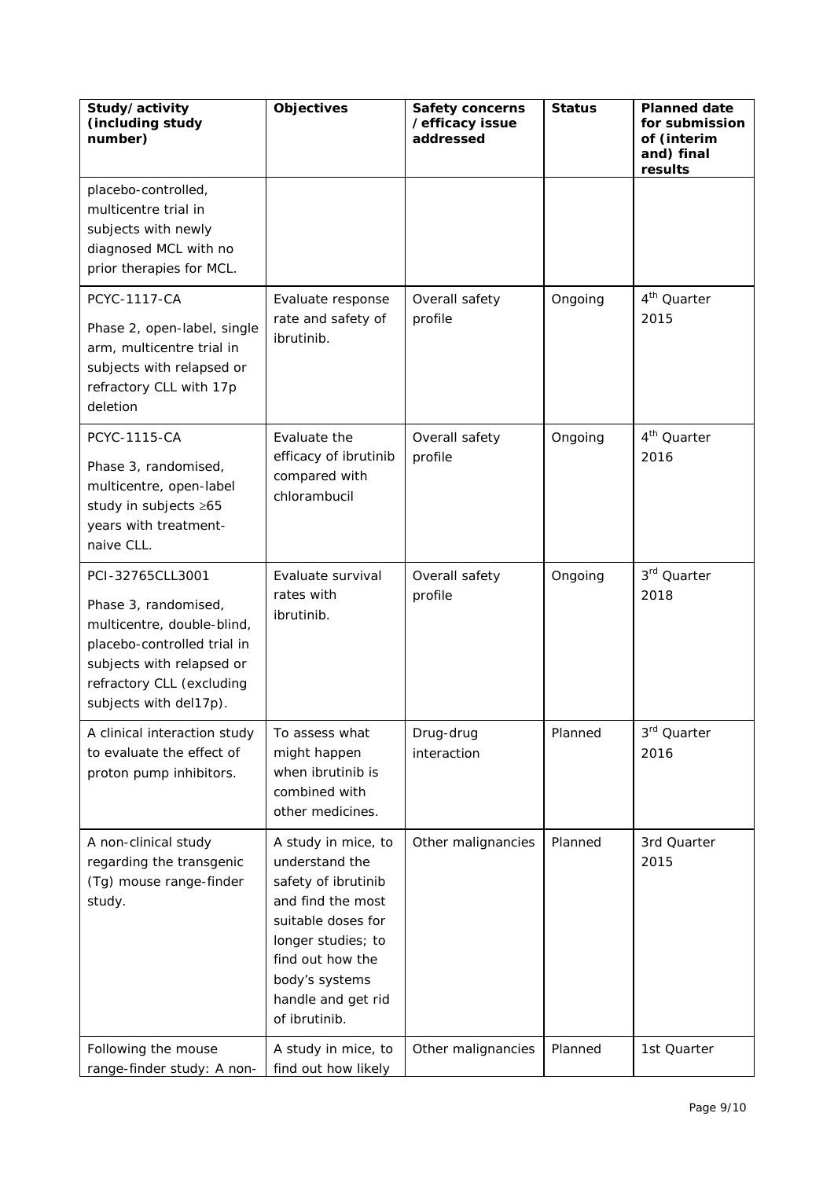| Study/activity<br>(including study<br>number)                                                                                                                                             | <b>Objectives</b>                                                                                                                                                                                          | <b>Safety concerns</b><br>/efficacy issue<br>addressed | <b>Status</b> | <b>Planned date</b><br>for submission<br>of (interim<br>and) final<br>results |
|-------------------------------------------------------------------------------------------------------------------------------------------------------------------------------------------|------------------------------------------------------------------------------------------------------------------------------------------------------------------------------------------------------------|--------------------------------------------------------|---------------|-------------------------------------------------------------------------------|
| placebo-controlled,<br>multicentre trial in<br>subjects with newly<br>diagnosed MCL with no<br>prior therapies for MCL.                                                                   |                                                                                                                                                                                                            |                                                        |               |                                                                               |
| <b>PCYC-1117-CA</b><br>Phase 2, open-label, single<br>arm, multicentre trial in<br>subjects with relapsed or<br>refractory CLL with 17p<br>deletion                                       | Evaluate response<br>rate and safety of<br>ibrutinib.                                                                                                                                                      | Overall safety<br>profile                              | Ongoing       | 4 <sup>th</sup> Quarter<br>2015                                               |
| <b>PCYC-1115-CA</b><br>Phase 3, randomised,<br>multicentre, open-label<br>study in subjects ≥65<br>years with treatment-<br>naive CLL.                                                    | Evaluate the<br>efficacy of ibrutinib<br>compared with<br>chlorambucil                                                                                                                                     | Overall safety<br>profile                              | Ongoing       | 4 <sup>th</sup> Quarter<br>2016                                               |
| PCI-32765CLL3001<br>Phase 3, randomised,<br>multicentre, double-blind,<br>placebo-controlled trial in<br>subjects with relapsed or<br>refractory CLL (excluding<br>subjects with del17p). | Evaluate survival<br>rates with<br>ibrutinib.                                                                                                                                                              | Overall safety<br>profile                              | Ongoing       | 3rd Quarter<br>2018                                                           |
| A clinical interaction study<br>to evaluate the effect of<br>proton pump inhibitors.                                                                                                      | To assess what<br>might happen<br>when ibrutinib is<br>combined with<br>other medicines.                                                                                                                   | Drug-drug<br>interaction                               | Planned       | 3rd Quarter<br>2016                                                           |
| A non-clinical study<br>regarding the transgenic<br>(Tg) mouse range-finder<br>study.                                                                                                     | A study in mice, to<br>understand the<br>safety of ibrutinib<br>and find the most<br>suitable doses for<br>longer studies; to<br>find out how the<br>body's systems<br>handle and get rid<br>of ibrutinib. | Other malignancies                                     | Planned       | 3rd Quarter<br>2015                                                           |
| Following the mouse<br>range-finder study: A non-                                                                                                                                         | A study in mice, to<br>find out how likely                                                                                                                                                                 | Other malignancies                                     | Planned       | 1st Quarter                                                                   |